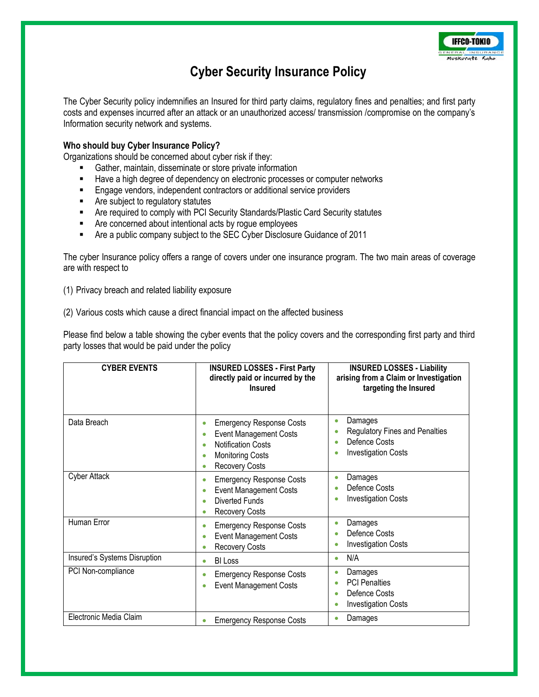

## **Cyber Security Insurance Policy**

The Cyber Security policy indemnifies an Insured for third party claims, regulatory fines and penalties; and first party costs and expenses incurred after an attack or an unauthorized access/ transmission /compromise on the company's Information security network and systems.

## **Who should buy Cyber Insurance Policy?**

Organizations should be concerned about cyber risk if they:

- Gather, maintain, disseminate or store private information
- Have a high degree of dependency on electronic processes or computer networks
- **Engage vendors, independent contractors or additional service providers**
- **EXECUTE:** Are subject to regulatory statutes
- Are required to comply with PCI Security Standards/Plastic Card Security statutes
- **EXECO Are concerned about intentional acts by rogue employees**
- **EXECT** Are a public company subject to the SEC Cyber Disclosure Guidance of 2011

The cyber Insurance policy offers a range of covers under one insurance program. The two main areas of coverage are with respect to

(1) Privacy breach and related liability exposure

(2) Various costs which cause a direct financial impact on the affected business

Please find below a table showing the cyber events that the policy covers and the corresponding first party and third party losses that would be paid under the policy

| <b>CYBER EVENTS</b>          | <b>INSURED LOSSES - First Party</b><br>directly paid or incurred by the<br><b>Insured</b>                                                                      | <b>INSURED LOSSES - Liability</b><br>arising from a Claim or Investigation<br>targeting the Insured                                         |
|------------------------------|----------------------------------------------------------------------------------------------------------------------------------------------------------------|---------------------------------------------------------------------------------------------------------------------------------------------|
| Data Breach                  | <b>Emergency Response Costs</b><br><b>Event Management Costs</b><br><b>Notification Costs</b><br><b>Monitoring Costs</b><br>$\bullet$<br><b>Recovery Costs</b> | Damages<br>$\bullet$<br><b>Regulatory Fines and Penalties</b><br>۰<br>Defence Costs<br>$\bullet$<br><b>Investigation Costs</b><br>$\bullet$ |
| Cyber Attack                 | <b>Emergency Response Costs</b><br><b>Event Management Costs</b><br><b>Diverted Funds</b><br><b>Recovery Costs</b>                                             | Damages<br>$\bullet$<br>Defence Costs<br><b>Investigation Costs</b><br>٠                                                                    |
| Human Error                  | <b>Emergency Response Costs</b><br><b>Event Management Costs</b><br><b>Recovery Costs</b>                                                                      | Damages<br>$\bullet$<br>Defence Costs<br>$\bullet$<br><b>Investigation Costs</b><br>0                                                       |
| Insured's Systems Disruption | <b>BI Loss</b><br>٠                                                                                                                                            | N/A<br>$\bullet$                                                                                                                            |
| PCI Non-compliance           | <b>Emergency Response Costs</b><br><b>Event Management Costs</b>                                                                                               | Damages<br>$\bullet$<br><b>PCI Penalties</b><br>$\bullet$<br>Defence Costs<br>$\bullet$<br><b>Investigation Costs</b><br>$\bullet$          |
| Electronic Media Claim       | <b>Emergency Response Costs</b>                                                                                                                                | Damages<br>$\bullet$                                                                                                                        |